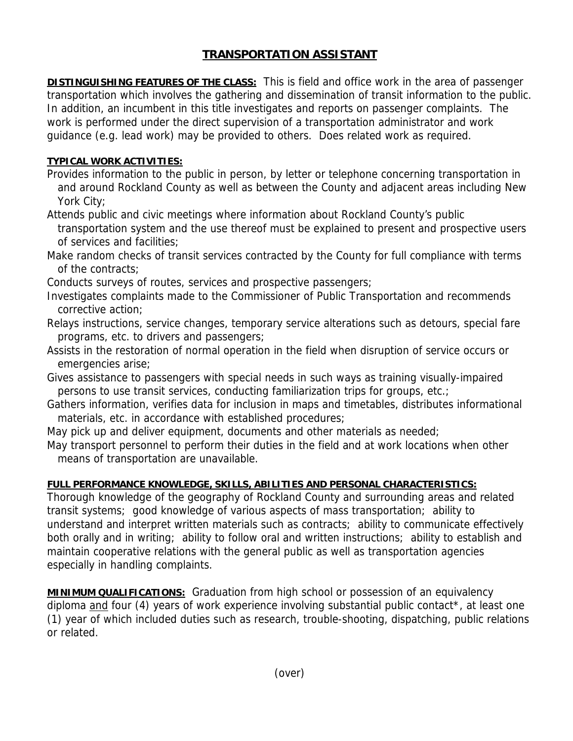## **TRANSPORTATION ASSISTANT**

**DISTINGUISHING FEATURES OF THE CLASS:** This is field and office work in the area of passenger transportation which involves the gathering and dissemination of transit information to the public. In addition, an incumbent in this title investigates and reports on passenger complaints. The work is performed under the direct supervision of a transportation administrator and work guidance (e.g. lead work) may be provided to others. Does related work as required.

## **TYPICAL WORK ACTIVITIES:**

Provides information to the public in person, by letter or telephone concerning transportation in and around Rockland County as well as between the County and adjacent areas including New York City;

Attends public and civic meetings where information about Rockland County's public transportation system and the use thereof must be explained to present and prospective users of services and facilities;

Make random checks of transit services contracted by the County for full compliance with terms of the contracts;

Conducts surveys of routes, services and prospective passengers;

Investigates complaints made to the Commissioner of Public Transportation and recommends corrective action;

- Relays instructions, service changes, temporary service alterations such as detours, special fare programs, etc. to drivers and passengers;
- Assists in the restoration of normal operation in the field when disruption of service occurs or emergencies arise;

Gives assistance to passengers with special needs in such ways as training visually-impaired persons to use transit services, conducting familiarization trips for groups, etc.;

Gathers information, verifies data for inclusion in maps and timetables, distributes informational materials, etc. in accordance with established procedures;

May pick up and deliver equipment, documents and other materials as needed;

May transport personnel to perform their duties in the field and at work locations when other means of transportation are unavailable.

## **FULL PERFORMANCE KNOWLEDGE, SKILLS, ABILITIES AND PERSONAL CHARACTERISTICS:**

Thorough knowledge of the geography of Rockland County and surrounding areas and related transit systems; good knowledge of various aspects of mass transportation; ability to understand and interpret written materials such as contracts; ability to communicate effectively both orally and in writing; ability to follow oral and written instructions; ability to establish and maintain cooperative relations with the general public as well as transportation agencies especially in handling complaints.

**MINIMUM QUALIFICATIONS:** Graduation from high school or possession of an equivalency diploma and four (4) years of work experience involving substantial public contact\*, at least one (1) year of which included duties such as research, trouble-shooting, dispatching, public relations or related.